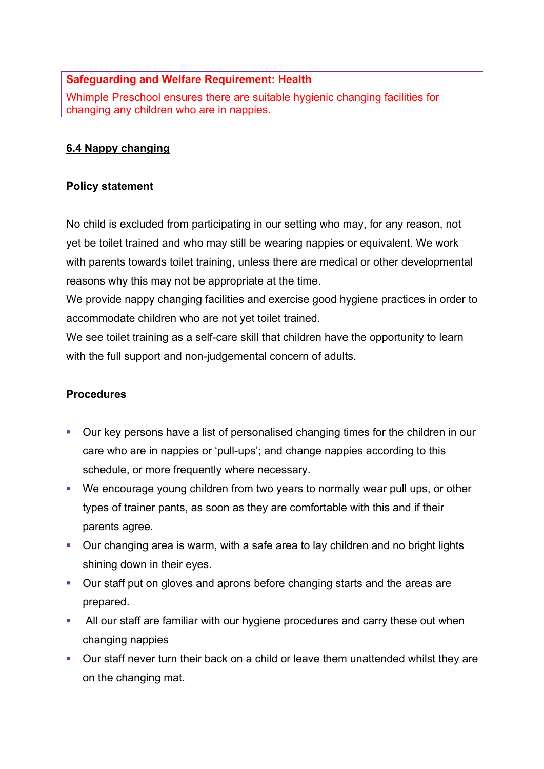## **Safeguarding and Welfare Requirement: Health**

Whimple Preschool ensures there are suitable hygienic changing facilities for changing any children who are in nappies.

## **6.4 Nappy changing**

## **Policy statement**

No child is excluded from participating in our setting who may, for any reason, not yet be toilet trained and who may still be wearing nappies or equivalent. We work with parents towards toilet training, unless there are medical or other developmental reasons why this may not be appropriate at the time.

We provide nappy changing facilities and exercise good hygiene practices in order to accommodate children who are not yet toilet trained.

We see toilet training as a self-care skill that children have the opportunity to learn with the full support and non-judgemental concern of adults.

## **Procedures**

- Our key persons have a list of personalised changing times for the children in our care who are in nappies or 'pull-ups'; and change nappies according to this schedule, or more frequently where necessary.
- We encourage young children from two years to normally wear pull ups, or other types of trainer pants, as soon as they are comfortable with this and if their parents agree.
- Our changing area is warm, with a safe area to lay children and no bright lights shining down in their eyes.
- Our staff put on gloves and aprons before changing starts and the areas are prepared.
- All our staff are familiar with our hygiene procedures and carry these out when changing nappies
- Our staff never turn their back on a child or leave them unattended whilst they are on the changing mat.